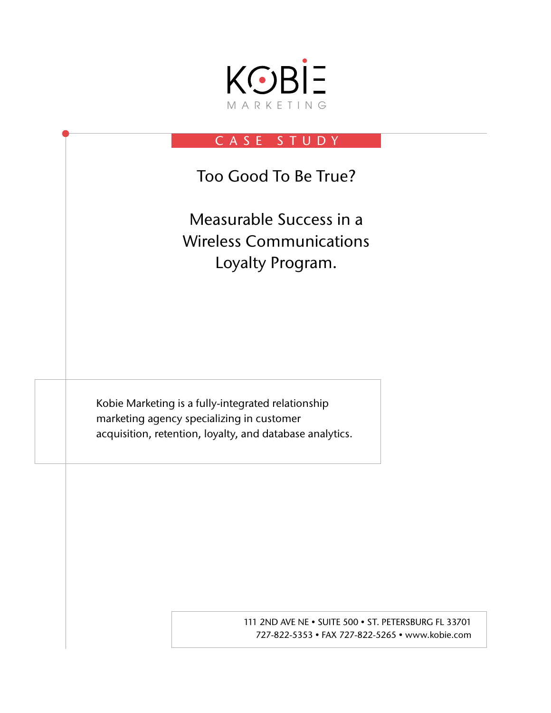

# CASE STUDY

Too Good To Be True?

Measurable Success in a Wireless Communications Loyalty Program.

Kobie Marketing is a fully-integrated relationship marketing agency specializing in customer acquisition, retention, loyalty, and database analytics.

> 111 2ND AVE NE . SUITE 500 . ST. PETERSBURG FL 33701 727-822-5353 • FAX 727-822-5265 • www.kobie.com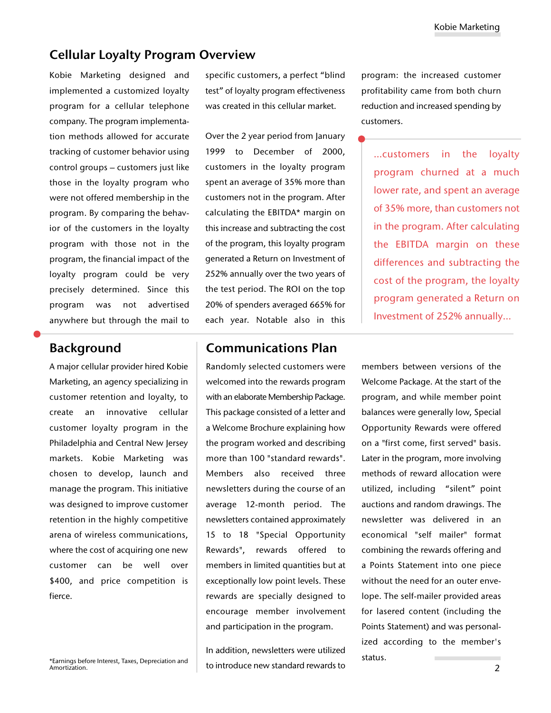## Cellular Loyalty Program Overview

Kobie Marketing designed and implemented a customized loyalty program for a cellular telephone company. The program implementation methods allowed for accurate tracking of customer behavior using control groups – customers just like those in the loyalty program who were not offered membership in the program. By comparing the behavior of the customers in the loyalty program with those not in the program, the financial impact of the loyalty program could be very precisely determined. Since this program was not advertised anywhere but through the mail to

A major cellular provider hired Kobie Marketing, an agency specializing in customer retention and loyalty, to create an innovative cellular customer loyalty program in the Philadelphia and Central New Jersey markets. Kobie Marketing was chosen to develop, launch and manage the program. This initiative was designed to improve customer retention in the highly competitive arena of wireless communications, where the cost of acquiring one new customer can be well over \$400, and price competition is fierce.

\*Earnings before Interest, Taxes, Depreciation and Amortization.

specific customers, a perfect "blind test" of loyalty program effectiveness was created in this cellular market.

Over the 2 year period from January 1999 to December of 2000, customers in the loyalty program spent an average of 35% more than customers not in the program. After calculating the EBITDA\* margin on this increase and subtracting the cost of the program, this loyalty program generated a Return on Investment of 252% annually over the two years of the test period. The ROI on the top 20% of spenders averaged 665% for each year. Notable also in this

## Background Communications Plan

Randomly selected customers were welcomed into the rewards program with an elaborate Membership Package. This package consisted of a letter and a Welcome Brochure explaining how the program worked and describing more than 100 "standard rewards". Members also received three newsletters during the course of an average 12-month period. The newsletters contained approximately 15 to 18 "Special Opportunity Rewards", rewards offered to members in limited quantities but at exceptionally low point levels. These rewards are specially designed to encourage member involvement and participation in the program.

In addition, newsletters were utilized to introduce new standard rewards to program: the increased customer profitability came from both churn reduction and increased spending by customers.

…customers in the loyalty program churned at a much lower rate, and spent an average of 35% more, than customers not in the program. After calculating the EBITDA margin on these differences and subtracting the cost of the program, the loyalty program generated a Return on Investment of 252% annually…

members between versions of the Welcome Package. At the start of the program, and while member point balances were generally low, Special Opportunity Rewards were offered on a "first come, first served" basis. Later in the program, more involving methods of reward allocation were utilized, including "silent" point auctions and random drawings. The newsletter was delivered in an economical "self mailer" format combining the rewards offering and a Points Statement into one piece without the need for an outer envelope. The self-mailer provided areas for lasered content (including the Points Statement) and was personalized according to the member's status.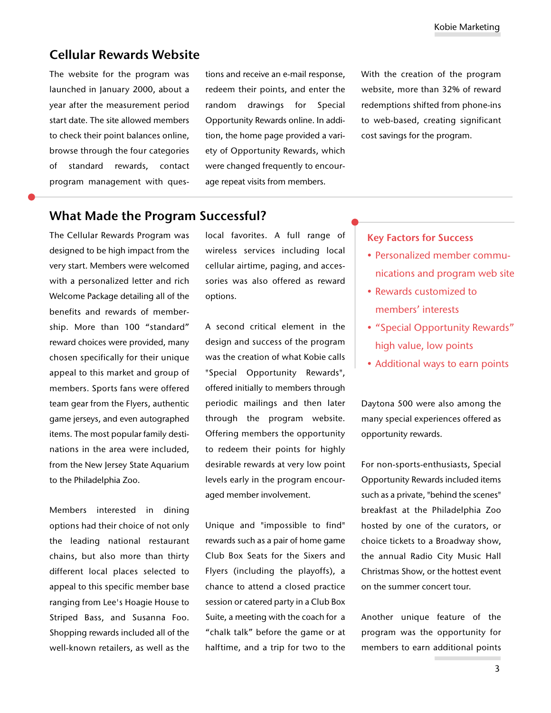### Cellular Rewards Website

The website for the program was launched in January 2000, about a year after the measurement period start date. The site allowed members to check their point balances online, browse through the four categories of standard rewards, contact program management with questions and receive an e-mail response, redeem their points, and enter the random drawings for Special Opportunity Rewards online. In addition, the home page provided a variety of Opportunity Rewards, which were changed frequently to encourage repeat visits from members.

With the creation of the program website, more than 32% of reward redemptions shifted from phone-ins to web-based, creating significant cost savings for the program.

## What Made the Program Successful?

The Cellular Rewards Program was designed to be high impact from the very start. Members were welcomed with a personalized letter and rich Welcome Package detailing all of the benefits and rewards of membership. More than 100 "standard" reward choices were provided, many chosen specifically for their unique appeal to this market and group of members. Sports fans were offered team gear from the Flyers, authentic game jerseys, and even autographed items. The most popular family destinations in the area were included, from the New Jersey State Aquarium to the Philadelphia Zoo.

Members interested in dining options had their choice of not only the leading national restaurant chains, but also more than thirty different local places selected to appeal to this specific member base ranging from Lee's Hoagie House to Striped Bass, and Susanna Foo. Shopping rewards included all of the well-known retailers, as well as the

local favorites. A full range of wireless services including local cellular airtime, paging, and accessories was also offered as reward options.

A second critical element in the design and success of the program was the creation of what Kobie calls "Special Opportunity Rewards", offered initially to members through periodic mailings and then later through the program website. Offering members the opportunity to redeem their points for highly desirable rewards at very low point levels early in the program encouraged member involvement.

Unique and "impossible to find" rewards such as a pair of home game Club Box Seats for the Sixers and Flyers (including the playoffs), a chance to attend a closed practice session or catered party in a Club Box Suite, a meeting with the coach for a "chalk talk" before the game or at halftime, and a trip for two to the

#### Key Factors for Success

- Personalized member communications and program web site
- Rewards customized to members' interests
- "Special Opportunity Rewards" high value, low points
- Additional ways to earn points

Daytona 500 were also among the many special experiences offered as opportunity rewards.

For non-sports-enthusiasts, Special Opportunity Rewards included items such as a private, "behind the scenes" breakfast at the Philadelphia Zoo hosted by one of the curators, or choice tickets to a Broadway show, the annual Radio City Music Hall Christmas Show, or the hottest event on the summer concert tour.

Another unique feature of the program was the opportunity for members to earn additional points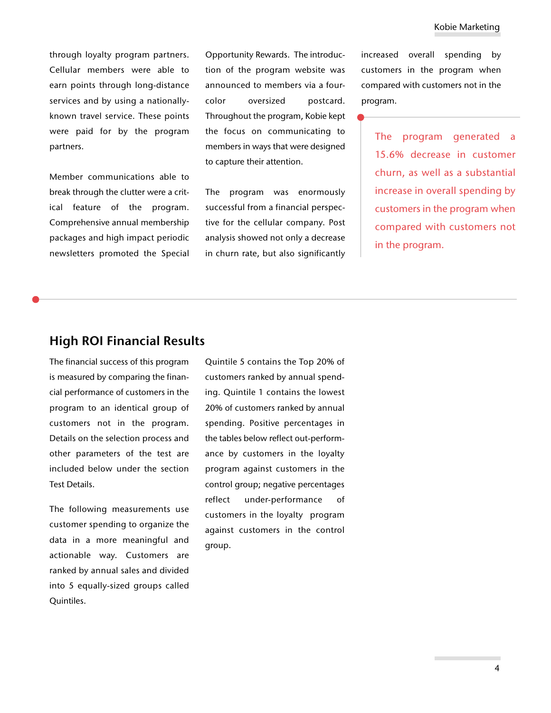through loyalty program partners. Cellular members were able to earn points through long-distance services and by using a nationallyknown travel service. These points were paid for by the program partners.

Member communications able to break through the clutter were a critical feature of the program. Comprehensive annual membership packages and high impact periodic newsletters promoted the Special Opportunity Rewards. The introduction of the program website was announced to members via a fourcolor oversized postcard. Throughout the program, Kobie kept the focus on communicating to members in ways that were designed to capture their attention.

The program was enormously successful from a financial perspective for the cellular company. Post analysis showed not only a decrease in churn rate, but also significantly increased overall spending by customers in the program when compared with customers not in the program.

The program generated a 15.6% decrease in customer churn, as well as a substantial increase in overall spending by customers in the program when compared with customers not in the program.

## High ROI Financial Results

The financial success of this program is measured by comparing the financial performance of customers in the program to an identical group of customers not in the program. Details on the selection process and other parameters of the test are included below under the section Test Details.

The following measurements use customer spending to organize the data in a more meaningful and actionable way. Customers are ranked by annual sales and divided into 5 equally-sized groups called Quintiles.

Quintile 5 contains the Top 20% of customers ranked by annual spending. Quintile 1 contains the lowest 20% of customers ranked by annual spending. Positive percentages in the tables below reflect out-performance by customers in the loyalty program against customers in the control group; negative percentages reflect under-performance of customers in the loyalty program against customers in the control group.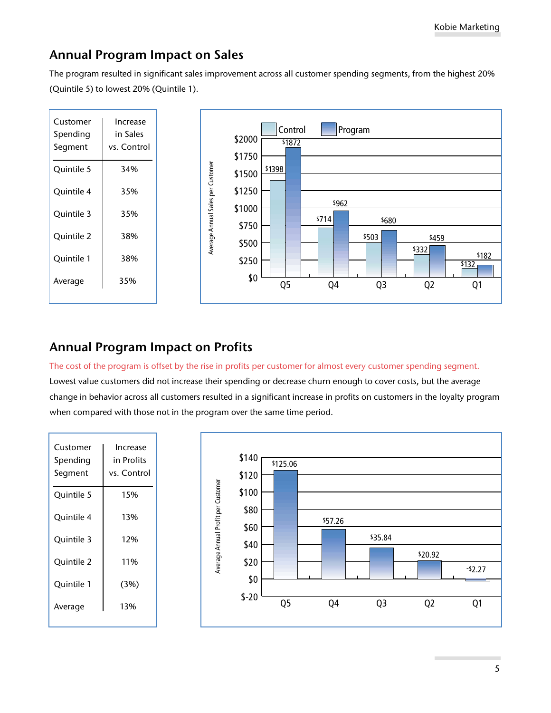# Annual Program Impact on Sales

The program resulted in significant sales improvement across all customer spending segments, from the highest 20% (Quintile 5) to lowest 20% (Quintile 1).



# Annual Program Impact on Profits

The cost of the program is offset by the rise in profits per customer for almost every customer spending segment.

Lowest value customers did not increase their spending or decrease churn enough to cover costs, but the average change in behavior across all customers resulted in a significant increase in profits on customers in the loyalty program when compared with those not in the program over the same time period.

| Customer<br>Spending<br>Segment | Increase<br>in Profits<br>vs. Control |
|---------------------------------|---------------------------------------|
| Quintile 5                      | 15%                                   |
| Ouintile 4                      | 13%                                   |
| Quintile 3                      | 12%                                   |
| Quintile 2                      | 11%                                   |
| Quintile 1                      | (3%)                                  |
| Average                         | 13%                                   |
|                                 |                                       |

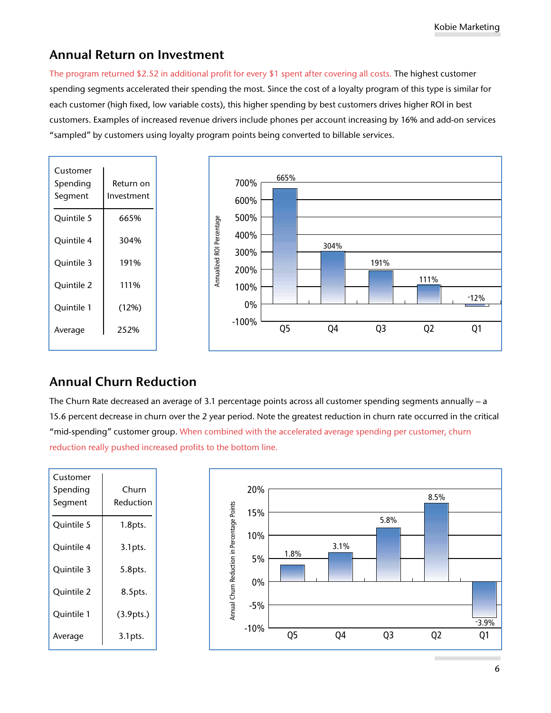# Annual Return on Investment

The program returned \$2.52 in additional profit for every \$1 spent after covering all costs. The highest customer spending segments accelerated their spending the most. Since the cost of a loyalty program of this type is similar for each customer (high fixed, low variable costs), this higher spending by best customers drives higher ROI in best customers. Examples of increased revenue drivers include phones per account increasing by 16% and add-on services "sampled" by customers using loyalty program points being converted to billable services.



# Annual Churn Reduction

The Churn Rate decreased an average of 3.1 percentage points across all customer spending segments annually – a 15.6 percent decrease in churn over the 2 year period. Note the greatest reduction in churn rate occurred in the critical "mid-spending" customer group. When combined with the accelerated average spending per customer, churn reduction really pushed increased profits to the bottom line.

| Customer<br>Spending<br>Segment | Churn<br>Reduction |                                             | 20%<br>15% | 8.5%           |      |                |  |                |  |         |
|---------------------------------|--------------------|---------------------------------------------|------------|----------------|------|----------------|--|----------------|--|---------|
| Quintile 5                      | $1.8$ pts.         |                                             |            |                |      | 5.8%           |  |                |  |         |
| Quintile 4                      | $3.1$ pts.         | Annual Churn Reduction in Percentage Points | 10%<br>5%  | 1.8%           | 3.1% |                |  |                |  |         |
| Quintile 3                      | 5.8pts.            |                                             |            |                |      |                |  |                |  |         |
| Quintile 2                      | 8.5pts.            |                                             | 0%         |                |      |                |  |                |  |         |
| Quintile 1                      | (3.9pts.)          |                                             | $-5%$      |                |      |                |  |                |  | $-3.9%$ |
| Average                         | $3.1$ pts.         |                                             | $-10%$     | Q <sub>5</sub> | Q4   | Q <sub>3</sub> |  | Q <sub>2</sub> |  | Q1      |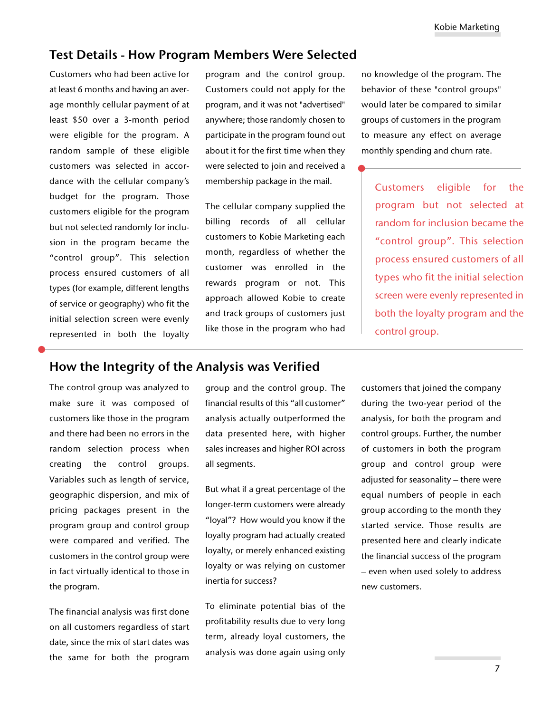## Test Details **-** How Program Members Were Selected

Customers who had been active for at least 6 months and having an average monthly cellular payment of at least \$50 over a 3-month period were eligible for the program. A random sample of these eligible customers was selected in accordance with the cellular company's budget for the program. Those customers eligible for the program but not selected randomly for inclusion in the program became the "control group". This selection process ensured customers of all types (for example, different lengths of service or geography) who fit the initial selection screen were evenly represented in both the loyalty program and the control group. Customers could not apply for the program, and it was not "advertised" anywhere; those randomly chosen to participate in the program found out about it for the first time when they were selected to join and received a membership package in the mail.

The cellular company supplied the billing records of all cellular customers to Kobie Marketing each month, regardless of whether the customer was enrolled in the rewards program or not. This approach allowed Kobie to create and track groups of customers just like those in the program who had

no knowledge of the program. The behavior of these "control groups" would later be compared to similar groups of customers in the program to measure any effect on average monthly spending and churn rate.

Customers eligible for the program but not selected at random for inclusion became the "control group". This selection process ensured customers of all types who fit the initial selection screen were evenly represented in both the loyalty program and the control group.

## How the Integrity of the Analysis was Verified

The control group was analyzed to make sure it was composed of customers like those in the program and there had been no errors in the random selection process when creating the control groups. Variables such as length of service, geographic dispersion, and mix of pricing packages present in the program group and control group were compared and verified. The customers in the control group were in fact virtually identical to those in the program.

The financial analysis was first done on all customers regardless of start date, since the mix of start dates was the same for both the program

group and the control group. The financial results of this "all customer" analysis actually outperformed the data presented here, with higher sales increases and higher ROI across all segments.

But what if a great percentage of the longer-term customers were already "loyal"? How would you know if the loyalty program had actually created loyalty, or merely enhanced existing loyalty or was relying on customer inertia for success?

To eliminate potential bias of the profitability results due to very long term, already loyal customers, the analysis was done again using only

customers that joined the company during the two-year period of the analysis, for both the program and control groups. Further, the number of customers in both the program group and control group were adjusted for seasonality – there were equal numbers of people in each group according to the month they started service. Those results are presented here and clearly indicate the financial success of the program – even when used solely to address new customers.